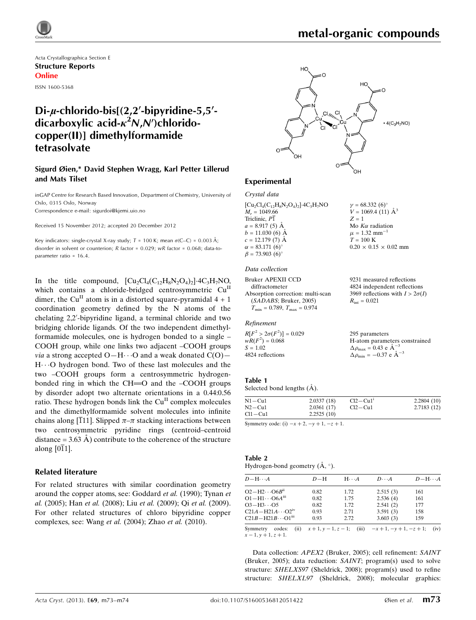

# metal-organic compounds

 $v = 68.332 (6)$ °  $V = 1069.4(11)$   $\mathring{A}^3$ 

Mo  $K\alpha$  radiation  $\mu$  = 1.32 mm<sup>-1</sup>  $T = 100 \text{ K}$ 

 $R_{\text{int}} = 0.021$ 

 $0.20 \times 0.15 \times 0.02$  mm

9231 measured reflections 4824 independent reflections 3969 reflections with  $I > 2\sigma(I)$ 

 $Z = 1$ 

Acta Crystallographica Section E Structure Reports Online ISSN 1600-5368

## Di- $\mu$ -chlorido-bis[(2,2'-bipyridine-5,5'dicarboxylic acid- $\kappa^2$ N,N')chloridocopper(II)] dimethylformamide tetrasolvate

## Sigurd Øien,\* David Stephen Wragg, Karl Petter Lillerud and Mats Tilset

inGAP Centre for Research Based Innovation, Department of Chemistry, University of Oslo, 0315 Oslo, Norway Correspondence e-mail: [sigurdoi@kjemi.uio.no](https://scripts.iucr.org/cgi-bin/cr.cgi?rm=pdfbb&cnor=qk2049&bbid=BB12)

Received 15 November 2012; accepted 20 December 2012

Key indicators: single-crystal X-ray study;  $T = 100$  K; mean  $\sigma$ (C–C) = 0.003 Å; disorder in solvent or counterion; R factor = 0.029; wR factor = 0.068; data-toparameter ratio = 16.4.

In the title compound,  $\left[\text{Cu}_2\text{Cl}_4(\text{C}_{12}\text{H}_8\text{N}_2\text{O}_4)_2\right]$ -4C<sub>3</sub>H<sub>7</sub>NO, which contains a chloride-bridged centrosymmetric Cu<sup>II</sup> dimer, the Cu<sup>II</sup> atom is in a distorted square-pyramidal  $4 + 1$ coordination geometry defined by the N atoms of the chelating 2,2'-bipyridine ligand, a terminal chloride and two bridging chloride ligands. Of the two independent dimethylformamide molecules, one is hydrogen bonded to a single – COOH group, while one links two adjacent –COOH groups *via* a strong accepted O-H $\cdots$ O and a weak donated C(O)-H $\cdots$ O hydrogen bond. Two of these last molecules and the two –COOH groups form a centrosymmetric hydrogenbonded ring in which the  $CH = O$  and the  $-COOH$  groups by disorder adopt two alternate orientations in a 0.44:0.56 ratio. These hydrogen bonds link the  $Cu<sup>H</sup>$  complex molecules and the dimethylformamide solvent molecules into infinite chains along [111]. Slipped  $\pi-\pi$  stacking interactions between two centrosymmetric pyridine rings (centroid–centroid distance =  $3.63$  Å) contribute to the coherence of the structure along  $[0\overline{1}1]$ .

## Related literature

For related structures with similar coordination geometry around the copper atoms, see: Goddard et al. (1990); Tynan et al. (2005); Han et al. (2008); Liu et al. (2009); Qi et al. (2009). For other related structures of chloro bipyridine copper complexes, see: Wang et al. (2004); Zhao et al. (2010).



## Experimental

Crystal data  $[Cu_2Cl_4(C_{12}H_8N_2O_4)_2]\cdot 4C_3H_7NO$  $M_r = 1049.66$ Triclinic,  $P\overline{1}$  $a = 8.917(5)$  Å  $b = 11.030$  (6) Å  $c = 12.179(7)$  Å  $\alpha = 83.171(6)$ °  $\beta = 73.903(6)^{\circ}$ 

#### Data collection

Bruker APEXII CCD diffractometer Absorption correction: multi-scan (SADABS; Bruker, 2005)  $T_{\text{min}} = 0.789$ ,  $T_{\text{max}} = 0.974$ 

#### Refinement

 $R[F^2 > 2\sigma(F^2)] = 0.029$  $wR(F^2) = 0.068$  $S = 1.02$ 4824 reflections 295 parameters H-atom parameters constrained  $\Delta \rho_{\text{max}} = 0.43 \text{ e A}^{-3}$  $\Delta \rho_{\rm min} = -0.37 \text{ e } \text{\AA}^{-3}$ 

#### Table 1

Selected bond lengths  $(\AA)$ .

| $N1 - Cu1$  | 2.0337(18) | $Cl2 - Cu1'$ | 2.2804(10) |
|-------------|------------|--------------|------------|
| $N2 - Cu1$  | 2.0361(17) | $Cl2 - Cl1$  | 2.7183(12) |
| $Cl1 - Cl1$ | 2.2525(10) |              |            |

Symmetry code: (i)  $-x + 2$ ,  $-y + 1$ ,  $-z + 1$ .

#### Table 2 Hydrogen-bond geometry  $(A, \circ)$ .

| $D$ -H $\cdots$ A                   | $D-H$                       | $H\cdots A$ | $D\cdots A$               | $D - H \cdots A$ |
|-------------------------------------|-----------------------------|-------------|---------------------------|------------------|
| $O2-H2\cdots O6B$ <sup>ii</sup>     | 0.82                        | 1.72        | 2.515(3)                  | 161              |
| $O1 - H1 \cdots O6Am$               | 0.82                        | 1.75        | 2.536(4)                  | 161              |
| $O3 - H3 \cdots O5$                 | 0.82                        | 1.72        | 2.541(2)                  | 177              |
| $C21A - H21A \cdots O2^W$           | 0.93                        | 2.71        | 3.591(3)                  | 158              |
| $C21B-H21B\cdots O1$ <sup>iii</sup> | 0.93                        | 2.72        | 3.603(3)                  | 159              |
| codes:<br>Symmetry                  | (ii) $x + 1, y - 1, z - 1;$ |             | (iii) $-x+1, -y+1, -z+1;$ | (iv)             |

 $x - 1$ ,  $y + 1$ ,  $z + 1$ .

Data collection: APEX2 (Bruker, 2005); cell refinement: SAINT (Bruker, 2005); data reduction: SAINT; program(s) used to solve structure: SHELXS97 (Sheldrick, 2008); program(s) used to refine structure: SHELXL97 (Sheldrick, 2008); molecular graphics: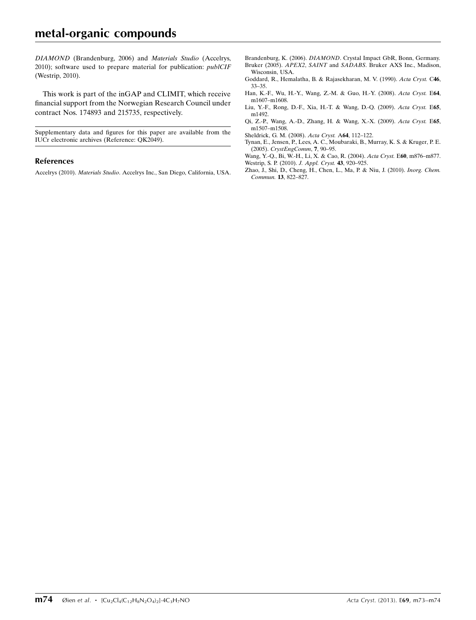# metal-organic compounds

DIAMOND (Brandenburg, 2006) and Materials Studio (Accelrys, 2010); software used to prepare material for publication: publCIF (Westrip, 2010).

This work is part of the inGAP and CLIMIT, which receive financial support from the Norwegian Research Council under contract Nos. 174893 and 215735, respectively.

Supplementary data and figures for this paper are available from the IUCr electronic archives (Reference: QK2049).

#### References

Accelrys (2010). Materials Studio[. Accelrys Inc., San Diego, California, USA.](https://scripts.iucr.org/cgi-bin/cr.cgi?rm=pdfbb&cnor=qk2049&bbid=BB1)

- Brandenburg, K. (2006). DIAMOND[. Crystal Impact GbR, Bonn, Germany.](https://scripts.iucr.org/cgi-bin/cr.cgi?rm=pdfbb&cnor=qk2049&bbid=BB2) Bruker (2005). APEX2, SAINT and SADABS[. Bruker AXS Inc., Madison,](https://scripts.iucr.org/cgi-bin/cr.cgi?rm=pdfbb&cnor=qk2049&bbid=BB3) [Wisconsin, USA.](https://scripts.iucr.org/cgi-bin/cr.cgi?rm=pdfbb&cnor=qk2049&bbid=BB3)
- [Goddard, R., Hemalatha, B. & Rajasekharan, M. V. \(1990\).](https://scripts.iucr.org/cgi-bin/cr.cgi?rm=pdfbb&cnor=qk2049&bbid=BB4) Acta Cryst. C46, [33–35.](https://scripts.iucr.org/cgi-bin/cr.cgi?rm=pdfbb&cnor=qk2049&bbid=BB4)
- [Han, K.-F., Wu, H.-Y., Wang, Z.-M. & Guo, H.-Y. \(2008\).](https://scripts.iucr.org/cgi-bin/cr.cgi?rm=pdfbb&cnor=qk2049&bbid=BB5) Acta Cryst. E64, [m1607–m1608.](https://scripts.iucr.org/cgi-bin/cr.cgi?rm=pdfbb&cnor=qk2049&bbid=BB5)
- [Liu, Y.-F., Rong, D.-F., Xia, H.-T. & Wang, D.-Q. \(2009\).](https://scripts.iucr.org/cgi-bin/cr.cgi?rm=pdfbb&cnor=qk2049&bbid=BB6) Acta Cryst. E65, [m1492.](https://scripts.iucr.org/cgi-bin/cr.cgi?rm=pdfbb&cnor=qk2049&bbid=BB6)
- [Qi, Z.-P., Wang, A.-D., Zhang, H. & Wang, X.-X. \(2009\).](https://scripts.iucr.org/cgi-bin/cr.cgi?rm=pdfbb&cnor=qk2049&bbid=BB7) Acta Cryst. E65, [m1507–m1508.](https://scripts.iucr.org/cgi-bin/cr.cgi?rm=pdfbb&cnor=qk2049&bbid=BB7)
- [Sheldrick, G. M. \(2008\).](https://scripts.iucr.org/cgi-bin/cr.cgi?rm=pdfbb&cnor=qk2049&bbid=BB8) Acta Cryst. A64, 112–122.
- [Tynan, E., Jensen, P., Lees, A. C., Moubaraki, B., Murray, K. S. & Kruger, P. E.](https://scripts.iucr.org/cgi-bin/cr.cgi?rm=pdfbb&cnor=qk2049&bbid=BB9) (2005). [CrystEngComm](https://scripts.iucr.org/cgi-bin/cr.cgi?rm=pdfbb&cnor=qk2049&bbid=BB9), 7, 90–95.
- [Wang, Y.-Q., Bi, W.-H., Li, X. & Cao, R. \(2004\).](https://scripts.iucr.org/cgi-bin/cr.cgi?rm=pdfbb&cnor=qk2049&bbid=BB10) Acta Cryst. E60, m876–m877. [Westrip, S. P. \(2010\).](https://scripts.iucr.org/cgi-bin/cr.cgi?rm=pdfbb&cnor=qk2049&bbid=BB11) J. Appl. Cryst. 43, 920–925.
- [Zhao, J., Shi, D., Cheng, H., Chen, L., Ma, P. & Niu, J. \(2010\).](https://scripts.iucr.org/cgi-bin/cr.cgi?rm=pdfbb&cnor=qk2049&bbid=BB12) Inorg. Chem. Commun. 13[, 822–827.](https://scripts.iucr.org/cgi-bin/cr.cgi?rm=pdfbb&cnor=qk2049&bbid=BB12)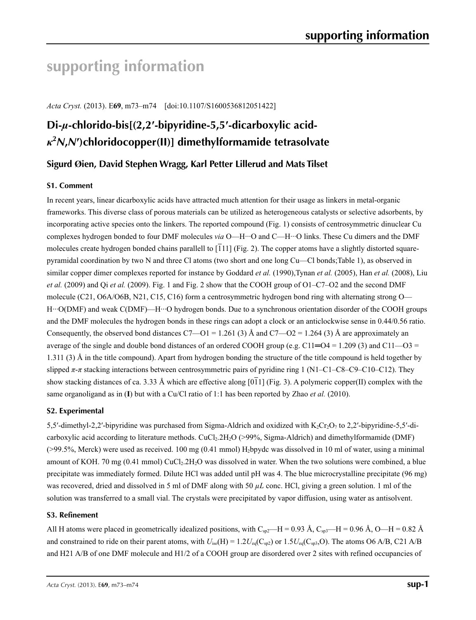# **supporting information**

*Acta Cryst.* (2013). E**69**, m73–m74 [doi:10.1107/S1600536812051422]

# **Di-***µ***-chlorido-bis[(2,2′-bipyridine-5,5′-dicarboxylic acid***κ***2** *N***,***N***′)chloridocopper(II)] dimethylformamide tetrasolvate**

## **Sigurd Øien, David Stephen Wragg, Karl Petter Lillerud and Mats Tilset**

## **S1. Comment**

In recent years, linear dicarboxylic acids have attracted much attention for their usage as linkers in metal-organic frameworks. This diverse class of porous materials can be utilized as heterogeneous catalysts or selective adsorbents, by incorporating active species onto the linkers. The reported compound (Fig. 1) consists of centrosymmetric dinuclear Cu complexes hydrogen bonded to four DMF molecules *via* O—H···O and C—H···O links. These Cu dimers and the DMF molecules create hydrogen bonded chains parallell to  $[111]$  (Fig. 2). The copper atoms have a slightly distorted squarepyramidal coordination by two N and three Cl atoms (two short and one long Cu—Cl bonds;Table 1), as observed in similar copper dimer complexes reported for instance by Goddard *et al.* (1990),Tynan *et al.* (2005), Han *et al.* (2008), Liu *et al.* (2009) and Qi *et al.* (2009). Fig. 1 and Fig. 2 show that the COOH group of O1–C7–O2 and the second DMF molecule (C21, O6A/O6B, N21, C15, C16) form a centrosymmetric hydrogen bond ring with alternating strong O— H···O(DMF) and weak C(DMF)—H···O hydrogen bonds. Due to a synchronous orientation disorder of the COOH groups and the DMF molecules the hydrogen bonds in these rings can adopt a clock or an anticlockwise sense in 0.44/0.56 ratio. Consequently, the observed bond distances  $C7 - O1 = 1.261$  (3) Å and  $C7 - O2 = 1.264$  (3) Å are approximately an average of the single and double bond distances of an ordered COOH group (e.g. C11= $O4 = 1.209$  (3) and C11 $-O3 =$ 1.311 (3) Å in the title compound). Apart from hydrogen bonding the structure of the title compound is held together by slipped *π*-*π* stacking interactions between centrosymmetric pairs of pyridine ring 1 (N1–C1–C8–C9–C10–C12). They show stacking distances of ca. 3.33 Å which are effective along [011] (Fig. 3). A polymeric copper(II) complex with the same organoligand as in (**I**) but with a Cu/Cl ratio of 1:1 has been reported by Zhao *et al.* (2010).

## **S2. Experimental**

5,5′-dimethyl-2,2′-bipyridine was purchased from Sigma-Aldrich and oxidized with  $K_2Cr_2O_7$  to 2,2′-bipyridine-5,5′-dicarboxylic acid according to literature methods. CuCl<sub>2</sub>.2H<sub>2</sub>O (>99%, Sigma-Aldrich) and dimethylformamide (DMF)  $(>99.5\%$ , Merck) were used as received. 100 mg  $(0.41 \text{ mmol})$  H<sub>2</sub>bpydc was dissolved in 10 ml of water, using a minimal amount of KOH. 70 mg (0.41 mmol) CuCl<sub>2</sub>.2H<sub>2</sub>O was dissolved in water. When the two solutions were combined, a blue precipitate was immediately formed. Dilute HCl was added until pH was 4. The blue microcrystalline precipitate (96 mg) was recovered, dried and dissolved in 5 ml of DMF along with 50  $\mu$ L conc. HCl, giving a green solution. 1 ml of the solution was transferred to a small vial. The crystals were precipitated by vapor diffusion, using water as antisolvent.

## **S3. Refinement**

All H atoms were placed in geometrically idealized positions, with  $C_{sp2}$ —H = 0.93 Å,  $C_{sp3}$ —H = 0.96 Å, O—H = 0.82 Å and constrained to ride on their parent atoms, with  $U_{iso}(H) = 1.2U_{eq}(C_{sp2})$  or  $1.5U_{eq}(C_{sp3},O)$ . The atoms O6 A/B, C21 A/B and H21 A/B of one DMF molecule and H1/2 of a COOH group are disordered over 2 sites with refined occupancies of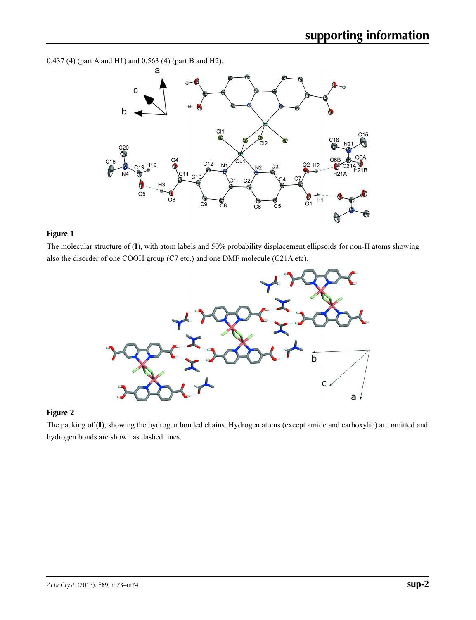0.437 (4) (part A and H1) and 0.563 (4) (part B and H2).



## **Figure 1**

The molecular structure of (**I**), with atom labels and 50% probability displacement ellipsoids for non-H atoms showing also the disorder of one COOH group (C7 etc.) and one DMF molecule (C21A etc).



## **Figure 2**

The packing of (**I**), showing the hydrogen bonded chains. Hydrogen atoms (except amide and carboxylic) are omitted and hydrogen bonds are shown as dashed lines.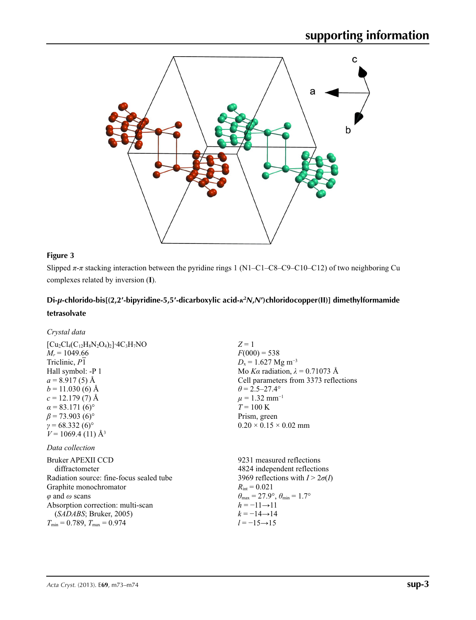

## **Figure 3**

Slipped  $\pi$ - $\pi$  stacking interaction between the pyridine rings 1 (N1–C1–C8–C9–C10–C12) of two neighboring Cu complexes related by inversion (**I**).

## **Di-***µ***-chlorido-bis[(2,2′-bipyridine-5,5′-dicarboxylic acid-***κ***<sup>2</sup>** *N***,***N***′)chloridocopper(II)] dimethylformamide tetrasolvate**

| Crystal data                                                                                                                                                                                                                                                                                                  |                                                                                                                                                                                                                                                                                             |
|---------------------------------------------------------------------------------------------------------------------------------------------------------------------------------------------------------------------------------------------------------------------------------------------------------------|---------------------------------------------------------------------------------------------------------------------------------------------------------------------------------------------------------------------------------------------------------------------------------------------|
| $[Cu_2Cl_4(C_{12}H_8N_2O_4)_2]\cdot 4C_3H_7NO$<br>$M_r = 1049.66$<br>Triclinic, P1<br>Hall symbol: -P 1<br>$a = 8.917(5)$ Å<br>$b = 11.030(6)$ Å<br>$c = 12.179(7)$ Å<br>$\alpha$ = 83.171 (6) <sup>o</sup><br>$\beta$ = 73.903 (6) <sup>o</sup><br>$\gamma = 68.332(6)$ °<br>$V = 1069.4(11)$ Å <sup>3</sup> | $Z=1$<br>$F(000) = 538$<br>$D_x = 1.627$ Mg m <sup>-3</sup><br>Mo Ka radiation, $\lambda = 0.71073$ Å<br>Cell parameters from 3373 reflections<br>$\theta$ = 2.5–27.4°<br>$\mu = 1.32$ mm <sup>-1</sup><br>$T = 100 \text{ K}$<br>Prism, green<br>$0.20 \times 0.15 \times 0.02$ mm         |
| Data collection                                                                                                                                                                                                                                                                                               |                                                                                                                                                                                                                                                                                             |
| <b>Bruker APEXII CCD</b><br>diffractometer<br>Radiation source: fine-focus sealed tube<br>Graphite monochromator<br>$\varphi$ and $\omega$ scans<br>Absorption correction: multi-scan<br>(SADABS; Bruker, 2005)<br>$T_{\min} = 0.789, T_{\max} = 0.974$                                                       | 9231 measured reflections<br>4824 independent reflections<br>3969 reflections with $I > 2\sigma(I)$<br>$R_{\rm int} = 0.021$<br>$\theta_{\text{max}} = 27.9^{\circ}, \theta_{\text{min}} = 1.7^{\circ}$<br>$h = -11 \rightarrow 11$<br>$k = -14 \rightarrow 14$<br>$l = -15 \rightarrow 15$ |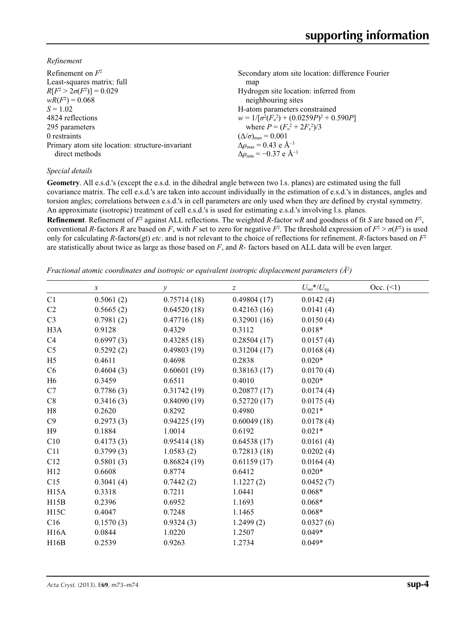*Refinement*

| Refinement on $F^2$                             | Secondary atom site location: difference Fourier   |
|-------------------------------------------------|----------------------------------------------------|
| Least-squares matrix: full                      | map                                                |
| $R[F^2 > 2\sigma(F^2)] = 0.029$                 | Hydrogen site location: inferred from              |
| $wR(F^2) = 0.068$                               | neighbouring sites                                 |
| $S = 1.02$                                      | H-atom parameters constrained                      |
| 4824 reflections                                | $w = 1/[\sigma^2(F_0^2) + (0.0259P)^2 + 0.590P]$   |
| 295 parameters                                  | where $P = (F_o^2 + 2F_c^2)/3$                     |
| 0 restraints                                    | $(\Delta/\sigma)_{\text{max}} = 0.001$             |
| Primary atom site location: structure-invariant | $\Delta\rho_{\text{max}} = 0.43$ e Å <sup>-3</sup> |
| direct methods                                  | $\Delta\rho_{\rm min} = -0.37 \text{ e A}^{-3}$    |
|                                                 |                                                    |

## *Special details*

**Geometry**. All e.s.d.'s (except the e.s.d. in the dihedral angle between two l.s. planes) are estimated using the full covariance matrix. The cell e.s.d.'s are taken into account individually in the estimation of e.s.d.'s in distances, angles and torsion angles; correlations between e.s.d.'s in cell parameters are only used when they are defined by crystal symmetry. An approximate (isotropic) treatment of cell e.s.d.'s is used for estimating e.s.d.'s involving l.s. planes.

**Refinement**. Refinement of  $F^2$  against ALL reflections. The weighted R-factor wR and goodness of fit *S* are based on  $F^2$ , conventional *R*-factors *R* are based on *F*, with *F* set to zero for negative  $F^2$ . The threshold expression of  $F^2 > \sigma(F^2)$  is used only for calculating *R*-factors(gt) *etc*. and is not relevant to the choice of reflections for refinement. *R*-factors based on *F*<sup>2</sup> are statistically about twice as large as those based on *F*, and *R*- factors based on ALL data will be even larger.

*Fractional atomic coordinates and isotropic or equivalent isotropic displacement parameters (Å<sup>2</sup>)* 

|                   | $\boldsymbol{\chi}$ | у           | z           | $U_{\rm iso}$ */ $U_{\rm eq}$ | Occ. (2) |
|-------------------|---------------------|-------------|-------------|-------------------------------|----------|
| C <sub>1</sub>    | 0.5061(2)           | 0.75714(18) | 0.49804(17) | 0.0142(4)                     |          |
| C <sub>2</sub>    | 0.5665(2)           | 0.64520(18) | 0.42163(16) | 0.0141(4)                     |          |
| C <sub>3</sub>    | 0.7981(2)           | 0.47716(18) | 0.32901(16) | 0.0150(4)                     |          |
| H <sub>3</sub> A  | 0.9128              | 0.4329      | 0.3112      | $0.018*$                      |          |
| C <sub>4</sub>    | 0.6997(3)           | 0.43285(18) | 0.28504(17) | 0.0157(4)                     |          |
| C <sub>5</sub>    | 0.5292(2)           | 0.49803(19) | 0.31204(17) | 0.0168(4)                     |          |
| H <sub>5</sub>    | 0.4611              | 0.4698      | 0.2838      | $0.020*$                      |          |
| C6                | 0.4604(3)           | 0.60601(19) | 0.38163(17) | 0.0170(4)                     |          |
| H <sub>6</sub>    | 0.3459              | 0.6511      | 0.4010      | $0.020*$                      |          |
| C7                | 0.7786(3)           | 0.31742(19) | 0.20877(17) | 0.0174(4)                     |          |
| C8                | 0.3416(3)           | 0.84090(19) | 0.52720(17) | 0.0175(4)                     |          |
| H8                | 0.2620              | 0.8292      | 0.4980      | $0.021*$                      |          |
| C9                | 0.2973(3)           | 0.94225(19) | 0.60049(18) | 0.0178(4)                     |          |
| H9                | 0.1884              | 1.0014      | 0.6192      | $0.021*$                      |          |
| C10               | 0.4173(3)           | 0.95414(18) | 0.64538(17) | 0.0161(4)                     |          |
| C11               | 0.3799(3)           | 1.0583(2)   | 0.72813(18) | 0.0202(4)                     |          |
| C12               | 0.5801(3)           | 0.86824(19) | 0.61159(17) | 0.0164(4)                     |          |
| H12               | 0.6608              | 0.8774      | 0.6412      | $0.020*$                      |          |
| C15               | 0.3041(4)           | 0.7442(2)   | 1.1227(2)   | 0.0452(7)                     |          |
| H15A              | 0.3318              | 0.7211      | 1.0441      | $0.068*$                      |          |
| H15B              | 0.2396              | 0.6952      | 1.1693      | $0.068*$                      |          |
| H <sub>15</sub> C | 0.4047              | 0.7248      | 1.1465      | $0.068*$                      |          |
| C16               | 0.1570(3)           | 0.9324(3)   | 1.2499(2)   | 0.0327(6)                     |          |
| H16A              | 0.0844              | 1.0220      | 1.2507      | $0.049*$                      |          |
| H16B              | 0.2539              | 0.9263      | 1.2734      | $0.049*$                      |          |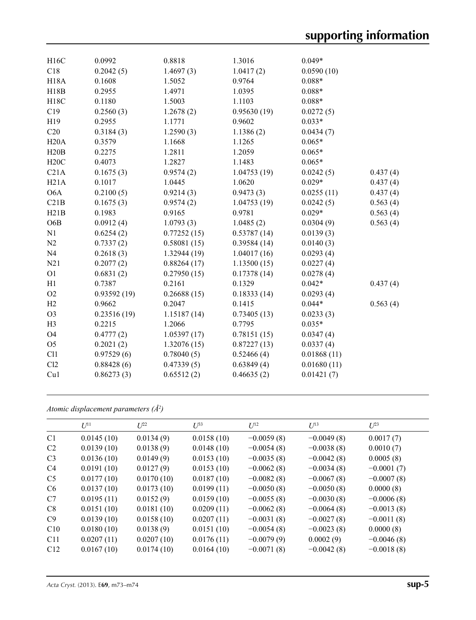| H16C             | 0.0992      | 0.8818       | 1.3016      | $0.049*$    |          |
|------------------|-------------|--------------|-------------|-------------|----------|
| C18              | 0.2042(5)   | 1.4697(3)    | 1.0417(2)   | 0.0590(10)  |          |
| <b>H18A</b>      | 0.1608      | 1.5052       | 0.9764      | $0.088*$    |          |
| H18B             | 0.2955      | 1.4971       | 1.0395      | $0.088*$    |          |
| H18C             | 0.1180      | 1.5003       | 1.1103      | $0.088*$    |          |
| C19              | 0.2560(3)   | 1.2678(2)    | 0.95630(19) | 0.0272(5)   |          |
|                  |             |              |             | $0.033*$    |          |
| H <sub>19</sub>  | 0.2955      | 1.1771       | 0.9602      |             |          |
| C20              | 0.3184(3)   | 1.2590(3)    | 1.1386(2)   | 0.0434(7)   |          |
| H20A             | 0.3579      | 1.1668       | 1.1265      | $0.065*$    |          |
| H20B             | 0.2275      | 1.2811       | 1.2059      | $0.065*$    |          |
| H20C             | 0.4073      | 1.2827       | 1.1483      | $0.065*$    |          |
| C21A             | 0.1675(3)   | 0.9574(2)    | 1.04753(19) | 0.0242(5)   | 0.437(4) |
| H21A             | 0.1017      | 1.0445       | 1.0620      | $0.029*$    | 0.437(4) |
| O <sub>6</sub> A | 0.2100(5)   | 0.9214(3)    | 0.9473(3)   | 0.0255(11)  | 0.437(4) |
| C21B             | 0.1675(3)   | 0.9574(2)    | 1.04753(19) | 0.0242(5)   | 0.563(4) |
| H21B             | 0.1983      | 0.9165       | 0.9781      | $0.029*$    | 0.563(4) |
| O <sub>6</sub> B | 0.0912(4)   | 1.0793(3)    | 1.0485(2)   | 0.0304(9)   | 0.563(4) |
| N1               | 0.6254(2)   | 0.77252(15)  | 0.53787(14) | 0.0139(3)   |          |
| N2               | 0.7337(2)   | 0.58081(15)  | 0.39584(14) | 0.0140(3)   |          |
| N <sub>4</sub>   | 0.2618(3)   | 1.32944 (19) | 1.04017(16) | 0.0293(4)   |          |
| N21              | 0.2077(2)   | 0.88264(17)  | 1.13500(15) | 0.0227(4)   |          |
| O <sub>1</sub>   | 0.6831(2)   | 0.27950(15)  | 0.17378(14) | 0.0278(4)   |          |
| H1               | 0.7387      | 0.2161       | 0.1329      | $0.042*$    | 0.437(4) |
| O2               | 0.93592(19) | 0.26688(15)  | 0.18333(14) | 0.0293(4)   |          |
| H2               | 0.9662      | 0.2047       | 0.1415      | $0.044*$    | 0.563(4) |
| O <sub>3</sub>   | 0.23516(19) | 1.15187(14)  | 0.73405(13) | 0.0233(3)   |          |
| H <sub>3</sub>   | 0.2215      | 1.2066       | 0.7795      | $0.035*$    |          |
| O <sub>4</sub>   | 0.4777(2)   | 1.05397(17)  | 0.78151(15) | 0.0347(4)   |          |
| O <sub>5</sub>   | 0.2021(2)   | 1.32076(15)  | 0.87227(13) | 0.0337(4)   |          |
| C11              | 0.97529(6)  | 0.78040(5)   | 0.52466(4)  | 0.01868(11) |          |
| C12              | 0.88428(6)  | 0.47339(5)   | 0.63849(4)  | 0.01680(11) |          |
| Cu1              | 0.86273(3)  | 0.65512(2)   | 0.46635(2)  | 0.01421(7)  |          |
|                  |             |              |             |             |          |

*Atomic displacement parameters (Å2 )*

|                 | $U^{11}$   | $L^{22}$   | $U^{33}$   | $U^{12}$     | $U^{13}$     | $U^{23}$     |
|-----------------|------------|------------|------------|--------------|--------------|--------------|
| C <sub>1</sub>  | 0.0145(10) | 0.0134(9)  | 0.0158(10) | $-0.0059(8)$ | $-0.0049(8)$ | 0.0017(7)    |
| C <sub>2</sub>  | 0.0139(10) | 0.0138(9)  | 0.0148(10) | $-0.0054(8)$ | $-0.0038(8)$ | 0.0010(7)    |
| C <sub>3</sub>  | 0.0136(10) | 0.0149(9)  | 0.0153(10) | $-0.0035(8)$ | $-0.0042(8)$ | 0.0005(8)    |
| C <sub>4</sub>  | 0.0191(10) | 0.0127(9)  | 0.0153(10) | $-0.0062(8)$ | $-0.0034(8)$ | $-0.0001(7)$ |
| C <sub>5</sub>  | 0.0177(10) | 0.0170(10) | 0.0187(10) | $-0.0082(8)$ | $-0.0067(8)$ | $-0.0007(8)$ |
| C <sub>6</sub>  | 0.0137(10) | 0.0173(10) | 0.0199(11) | $-0.0050(8)$ | $-0.0050(8)$ | 0.0000(8)    |
| C7              | 0.0195(11) | 0.0152(9)  | 0.0159(10) | $-0.0055(8)$ | $-0.0030(8)$ | $-0.0006(8)$ |
| C8              | 0.0151(10) | 0.0181(10) | 0.0209(11) | $-0.0062(8)$ | $-0.0064(8)$ | $-0.0013(8)$ |
| C9              | 0.0139(10) | 0.0158(10) | 0.0207(11) | $-0.0031(8)$ | $-0.0027(8)$ | $-0.0011(8)$ |
| C10             | 0.0180(10) | 0.0138(9)  | 0.0151(10) | $-0.0054(8)$ | $-0.0023(8)$ | 0.0000(8)    |
| C <sub>11</sub> | 0.0207(11) | 0.0207(10) | 0.0176(11) | $-0.0079(9)$ | 0.0002(9)    | $-0.0046(8)$ |
| C12             | 0.0167(10) | 0.0174(10) | 0.0164(10) | $-0.0071(8)$ | $-0.0042(8)$ | $-0.0018(8)$ |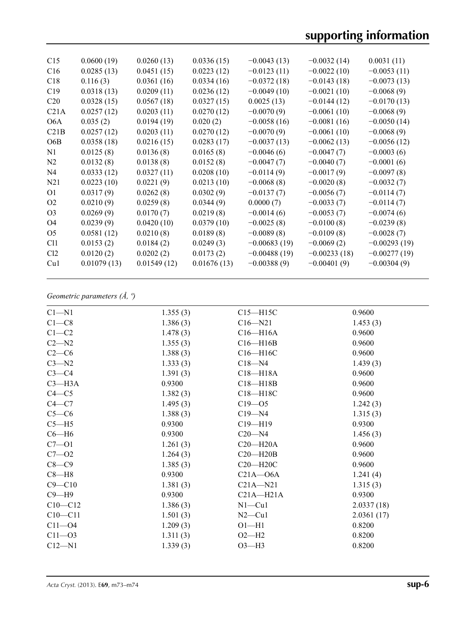| C15              | 0.0600(19)  | 0.0260(13)  | 0.0336(15)  | $-0.0043(13)$  | $-0.0032(14)$  | 0.0031(11)     |
|------------------|-------------|-------------|-------------|----------------|----------------|----------------|
| C16              | 0.0285(13)  | 0.0451(15)  | 0.0223(12)  | $-0.0123(11)$  | $-0.0022(10)$  | $-0.0053(11)$  |
| C18              | 0.116(3)    | 0.0361(16)  | 0.0334(16)  | $-0.0372(18)$  | $-0.0143(18)$  | $-0.0073(13)$  |
| C19              | 0.0318(13)  | 0.0209(11)  | 0.0236(12)  | $-0.0049(10)$  | $-0.0021(10)$  | $-0.0068(9)$   |
| C <sub>20</sub>  | 0.0328(15)  | 0.0567(18)  | 0.0327(15)  | 0.0025(13)     | $-0.0144(12)$  | $-0.0170(13)$  |
| C21A             | 0.0257(12)  | 0.0203(11)  | 0.0270(12)  | $-0.0070(9)$   | $-0.0061(10)$  | $-0.0068(9)$   |
| O6A              | 0.035(2)    | 0.0194(19)  | 0.020(2)    | $-0.0058(16)$  | $-0.0081(16)$  | $-0.0050(14)$  |
| C21B             | 0.0257(12)  | 0.0203(11)  | 0.0270(12)  | $-0.0070(9)$   | $-0.0061(10)$  | $-0.0068(9)$   |
| O <sub>6</sub> B | 0.0358(18)  | 0.0216(15)  | 0.0283(17)  | $-0.0037(13)$  | $-0.0062(13)$  | $-0.0056(12)$  |
| N1               | 0.0125(8)   | 0.0136(8)   | 0.0165(8)   | $-0.0046(6)$   | $-0.0047(7)$   | $-0.0003(6)$   |
| N2               | 0.0132(8)   | 0.0138(8)   | 0.0152(8)   | $-0.0047(7)$   | $-0.0040(7)$   | $-0.0001(6)$   |
| N4               | 0.0333(12)  | 0.0327(11)  | 0.0208(10)  | $-0.0114(9)$   | $-0.0017(9)$   | $-0.0097(8)$   |
| N <sub>21</sub>  | 0.0223(10)  | 0.0221(9)   | 0.0213(10)  | $-0.0068(8)$   | $-0.0020(8)$   | $-0.0032(7)$   |
| O <sub>1</sub>   | 0.0317(9)   | 0.0262(8)   | 0.0302(9)   | $-0.0137(7)$   | $-0.0056(7)$   | $-0.0114(7)$   |
| O <sub>2</sub>   | 0.0210(9)   | 0.0259(8)   | 0.0344(9)   | 0.0000(7)      | $-0.0033(7)$   | $-0.0114(7)$   |
| O <sub>3</sub>   | 0.0269(9)   | 0.0170(7)   | 0.0219(8)   | $-0.0014(6)$   | $-0.0053(7)$   | $-0.0074(6)$   |
| O <sub>4</sub>   | 0.0239(9)   | 0.0420(10)  | 0.0379(10)  | $-0.0025(8)$   | $-0.0100(8)$   | $-0.0239(8)$   |
| O <sub>5</sub>   | 0.0581(12)  | 0.0210(8)   | 0.0189(8)   | $-0.0089(8)$   | $-0.0109(8)$   | $-0.0028(7)$   |
| C <sub>11</sub>  | 0.0153(2)   | 0.0184(2)   | 0.0249(3)   | $-0.00683(19)$ | $-0.0069(2)$   | $-0.00293(19)$ |
| Cl <sub>2</sub>  | 0.0120(2)   | 0.0202(2)   | 0.0173(2)   | $-0.00488(19)$ | $-0.00233(18)$ | $-0.00277(19)$ |
| Cu1              | 0.01079(13) | 0.01549(12) | 0.01676(13) | $-0.00388(9)$  | $-0.00401(9)$  | $-0.00304(9)$  |
|                  |             |             |             |                |                |                |

## *Geometric parameters (Å, º)*

| $C1 - N1$   | 1.355(3) | $C15 - H15C$  | 0.9600     |
|-------------|----------|---------------|------------|
| $C1-C8$     | 1.386(3) | $C16 - N21$   | 1.453(3)   |
| $C1-C2$     | 1.478(3) | $C16 - H16A$  | 0.9600     |
| $C2 - N2$   | 1.355(3) | $C16 - H16B$  | 0.9600     |
| $C2-C6$     | 1.388(3) | C16-H16C      | 0.9600     |
| $C3 - N2$   | 1.333(3) | $C18 - N4$    | 1.439(3)   |
| $C3-C4$     | 1.391(3) | $C18 - H18A$  | 0.9600     |
| $C3 - H3A$  | 0.9300   | $C18 - H18B$  | 0.9600     |
| $C4 - C5$   | 1.382(3) | C18-H18C      | 0.9600     |
| $C4 - C7$   | 1.495(3) | $C19 - 05$    | 1.242(3)   |
| $C5-C6$     | 1.388(3) | $C19 - N4$    | 1.315(3)   |
| $C5 - H5$   | 0.9300   | $C19 - H19$   | 0.9300     |
| $C6 - H6$   | 0.9300   | $C20 - N4$    | 1.456(3)   |
| $C7 - O1$   | 1.261(3) | $C20 - H20A$  | 0.9600     |
| $C7 - 02$   | 1.264(3) | $C20 - H20B$  | 0.9600     |
| $C8-C9$     | 1.385(3) | $C20 - H20C$  | 0.9600     |
| $C8 - H8$   | 0.9300   | $C21A - O6A$  | 1.241(4)   |
| $C9 - C10$  | 1.381(3) | $C21A - N21$  | 1.315(3)   |
| $C9 - H9$   | 0.9300   | $C21A - H21A$ | 0.9300     |
| $C10 - C12$ | 1.386(3) | $N1 - Cu1$    | 2.0337(18) |
| $C10 - C11$ | 1.501(3) | $N2$ — $Cu1$  | 2.0361(17) |
| $C11 - 04$  | 1.209(3) | $O1 - H1$     | 0.8200     |
| $C11 - O3$  | 1.311(3) | $O2-H2$       | 0.8200     |
| $C12 - N1$  | 1.339(3) | $O3-H3$       | 0.8200     |
|             |          |               |            |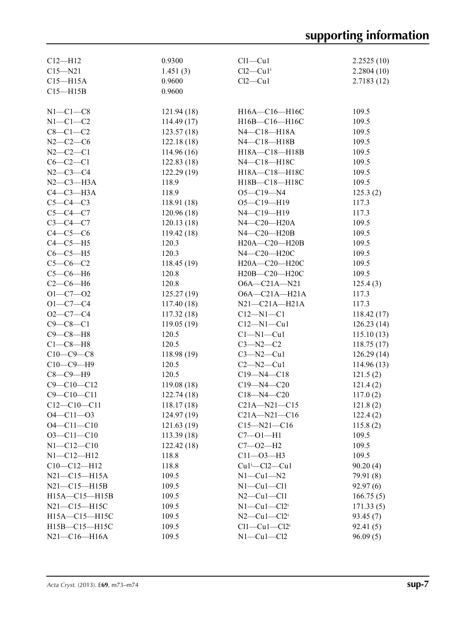| $C12 - H12$         | 0.9300                   | $Cl1 - Cl1$                       | 2.2525(10)           |
|---------------------|--------------------------|-----------------------------------|----------------------|
| $C15 - N21$         | 1.451(3)                 | $Cl2-Cu1$ <sup>i</sup>            | 2.2804(10)           |
| $C15 - H15A$        | 0.9600                   | $Cl2-Cu1$                         | 2.7183(12)           |
| $C15 - H15B$        | 0.9600                   |                                   |                      |
|                     |                          |                                   |                      |
| $N1-C1-C8$          | 121.94(18)               | H16A-C16-H16C                     | 109.5                |
| $N1-C1-C2$          | 114.49(17)               | H16B-C16-H16C                     | 109.5                |
| $C8-C1-C2$          | 123.57(18)               | N4-C18-H18A                       | 109.5                |
| $N2-C2-C6$          | 122.18(18)               | N4-C18-H18B                       | 109.5                |
| $N2 - C2 - C1$      | 114.96(16)               | H18A-C18-H18B                     | 109.5                |
| $C6-C2-C1$          | 122.83(18)               | N4-C18-H18C                       | 109.5                |
| $N2 - C3 - C4$      | 122.29(19)               | H18A-C18-H18C                     | 109.5                |
| $N2-C3-H3A$         | 118.9                    | H18B-C18-H18C                     | 109.5                |
| $C4-C3-H3A$         | 118.9                    | $O5 - C19 - N4$                   | 125.3(2)             |
| $C5-C4-C3$          | 118.91(18)               | $O5 - Cl9 - H19$                  | 117.3                |
| $C5 - C4 - C7$      | 120.96(18)               | $N4 - C19 - H19$                  | 117.3                |
| $C3 - C4 - C7$      | 120.13(18)               | $N4$ —C20—H20A                    | 109.5                |
| $C4-C5-C6$          | 119.42(18)               | N4-C20-H20B                       | 109.5                |
| $C4-C5-H5$          | 120.3                    | H20A-C20-H20B                     | 109.5                |
| $C6-C5-H5$          | 120.3                    | N4-C20-H20C                       | 109.5                |
| $C5-C6-C2$          | 118.45(19)               | H20A-C20-H20C                     | 109.5                |
| $C5-C6-H6$          | 120.8                    | H20B-C20-H20C                     | 109.5                |
| $C2-C6-H6$          | 120.8                    | $O6A - C21A - N21$                | 125.4(3)             |
| $O1 - C7 - O2$      | 125.27(19)               | $O6A - C21A - H21A$               | 117.3                |
| $O1 - C7 - C4$      | 117.40(18)               | $N21-C21A-H21A$                   | 117.3                |
| $O2 - C7 - C4$      | 117.32(18)               | $C12 - N1 - C1$                   | 118.42(17)           |
| $C9 - C8 - C1$      | 119.05(19)               | $C12-M1-Cu1$                      | 126.23(14)           |
| $C9 - C8 - H8$      | 120.5                    | $Cl-M1-Cu1$                       | 115.10(13)           |
| $C1-C8-H8$          | 120.5                    | $C3 - N2 - C2$                    | 118.75(17)           |
| $C10-C9-C8$         | 118.98(19)               | $C3 - N2 - Cu1$                   | 126.29(14)           |
| $C10-C9-H9$         | 120.5                    | $C2 - N2 - Cu1$                   | 114.96(13)           |
| $C8-C9-H9$          | 120.5                    | $C19 - N4 - C18$                  | 121.5(2)             |
| $C9 - C10 - C12$    | 119.08(18)               | $C19 - N4 - C20$                  | 121.4(2)             |
| $C9 - C10 - C11$    | 122.74(18)               | $C18 - N4 - C20$                  | 117.0(2)             |
| $C12-C10-C11$       | 118.17(18)               | $C21A - N21 - C15$                | 121.8(2)             |
| $O4 - Cl1 - O3$     |                          | $C21A - N21 - C16$                |                      |
| $O4 - C11 - C10$    | 124.97(19)<br>121.63(19) | $C15 - N21 - C16$                 | 122.4(2)<br>115.8(2) |
| $O3 - Cl1 - Cl0$    |                          |                                   | 109.5                |
| $N1 - C12 - C10$    | 113.39(18)<br>122.42(18) | $C7 - 01 - H1$                    | 109.5                |
|                     |                          | $C7 - 02 - H2$                    |                      |
| $N1 - C12 - H12$    | 118.8                    | $C11 - O3 - H3$                   | 109.5                |
| $C10-C12-H12$       | 118.8                    | $Cu1^i$ -Cl2-Cu1                  | 90.20(4)             |
| $N21 - C15 - H15A$  | 109.5                    | $N1-Cu1-N2$                       | 79.91 (8)            |
| $N21 - C15 - H15B$  | 109.5                    | $N1-Cu1-C11$                      | 92.97(6)             |
| $H15A - C15 - H15B$ | 109.5                    | $N2$ — $Cu1$ — $Cl1$              | 166.75(5)            |
| N21-C15-H15C        | 109.5                    | $N1-Cu1-Cl2$ <sup>i</sup>         | 171.33(5)            |
| H15A-C15-H15C       | 109.5                    | $N2$ — $Cu1$ — $Cl2$ <sup>i</sup> | 93.45(7)             |
| H15B-C15-H15C       | 109.5                    | $Cl1-Cu1-Cl2i$                    | 92.41(5)             |
| $N21 - C16 - H16A$  | 109.5                    | $N1-Cu1-C12$                      | 96.09(5)             |